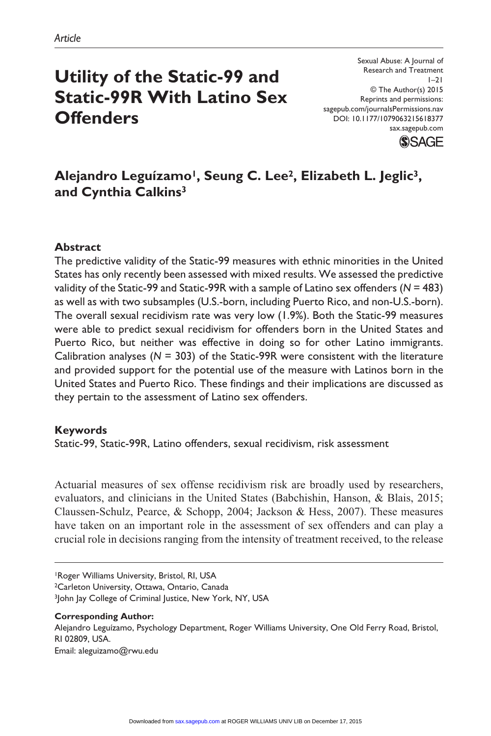# **Utility of the Static-99 and Static-99R With Latino Sex Offenders**

Sexual Abuse: A Journal of Research and Treatment  $1 - 21$ © The Author(s) 2015 Reprints and permissions: sagepub.com/journalsPermissions.nav DOI: 10.1177/1079063215618377 sax.sagepub.com



## Alejandro Leguízamo<sup>1</sup>, Seung C. Lee<sup>2</sup>, Elizabeth L. Jeglic<sup>3</sup>, **and Cynthia Calkins3**

## **Abstract**

The predictive validity of the Static-99 measures with ethnic minorities in the United States has only recently been assessed with mixed results. We assessed the predictive validity of the Static-99 and Static-99R with a sample of Latino sex offenders (*N* = 483) as well as with two subsamples (U.S.-born, including Puerto Rico, and non-U.S.-born). The overall sexual recidivism rate was very low (1.9%). Both the Static-99 measures were able to predict sexual recidivism for offenders born in the United States and Puerto Rico, but neither was effective in doing so for other Latino immigrants. Calibration analyses (*N* = 303) of the Static-99R were consistent with the literature and provided support for the potential use of the measure with Latinos born in the United States and Puerto Rico. These findings and their implications are discussed as they pertain to the assessment of Latino sex offenders.

## **Keywords**

Static-99, Static-99R, Latino offenders, sexual recidivism, risk assessment

Actuarial measures of sex offense recidivism risk are broadly used by researchers, evaluators, and clinicians in the United States (Babchishin, Hanson, & Blais, 2015; Claussen-Schulz, Pearce, & Schopp, 2004; Jackson & Hess, 2007). These measures have taken on an important role in the assessment of sex offenders and can play a crucial role in decisions ranging from the intensity of treatment received, to the release

1Roger Williams University, Bristol, RI, USA

2Carleton University, Ottawa, Ontario, Canada

<sup>3</sup>John Jay College of Criminal Justice, New York, NY, USA

#### **Corresponding Author:**

Alejandro Leguízamo, Psychology Department, Roger Williams University, One Old Ferry Road, Bristol, RI 02809, USA. Email: [aleguizamo@rwu.edu](mailto:aleguizamo@rwu.edu)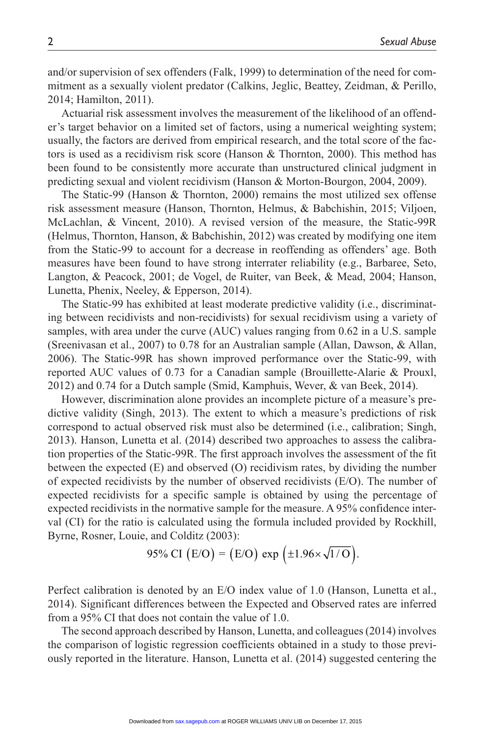and/or supervision of sex offenders (Falk, 1999) to determination of the need for commitment as a sexually violent predator (Calkins, Jeglic, Beattey, Zeidman, & Perillo, 2014; Hamilton, 2011).

Actuarial risk assessment involves the measurement of the likelihood of an offender's target behavior on a limited set of factors, using a numerical weighting system; usually, the factors are derived from empirical research, and the total score of the factors is used as a recidivism risk score (Hanson & Thornton, 2000). This method has been found to be consistently more accurate than unstructured clinical judgment in predicting sexual and violent recidivism (Hanson & Morton-Bourgon, 2004, 2009).

The Static-99 (Hanson  $&$  Thornton, 2000) remains the most utilized sex offense risk assessment measure (Hanson, Thornton, Helmus, & Babchishin, 2015; Viljoen, McLachlan, & Vincent, 2010). A revised version of the measure, the Static-99R (Helmus, Thornton, Hanson, & Babchishin, 2012) was created by modifying one item from the Static-99 to account for a decrease in reoffending as offenders' age. Both measures have been found to have strong interrater reliability (e.g., Barbaree, Seto, Langton, & Peacock, 2001; de Vogel, de Ruiter, van Beek, & Mead, 2004; Hanson, Lunetta, Phenix, Neeley, & Epperson, 2014).

The Static-99 has exhibited at least moderate predictive validity (i.e., discriminating between recidivists and non-recidivists) for sexual recidivism using a variety of samples, with area under the curve (AUC) values ranging from 0.62 in a U.S. sample (Sreenivasan et al., 2007) to 0.78 for an Australian sample (Allan, Dawson, & Allan, 2006). The Static-99R has shown improved performance over the Static-99, with reported AUC values of 0.73 for a Canadian sample (Brouillette-Alarie & Prouxl, 2012) and 0.74 for a Dutch sample (Smid, Kamphuis, Wever, & van Beek, 2014).

However, discrimination alone provides an incomplete picture of a measure's predictive validity (Singh, 2013). The extent to which a measure's predictions of risk correspond to actual observed risk must also be determined (i.e., calibration; Singh, 2013). Hanson, Lunetta et al. (2014) described two approaches to assess the calibration properties of the Static-99R. The first approach involves the assessment of the fit between the expected (E) and observed (O) recidivism rates, by dividing the number of expected recidivists by the number of observed recidivists (E/O). The number of expected recidivists for a specific sample is obtained by using the percentage of expected recidivists in the normative sample for the measure. A 95% confidence interval (CI) for the ratio is calculated using the formula included provided by Rockhill, Byrne, Rosner, Louie, and Colditz (2003):

95% CI (E/O) = (E/O) exp  $(\pm 1.96 \times \sqrt{1/O})$ .

Perfect calibration is denoted by an E/O index value of 1.0 (Hanson, Lunetta et al., 2014). Significant differences between the Expected and Observed rates are inferred from a 95% CI that does not contain the value of 1.0.

The second approach described by Hanson, Lunetta, and colleagues (2014) involves the comparison of logistic regression coefficients obtained in a study to those previously reported in the literature. Hanson, Lunetta et al. (2014) suggested centering the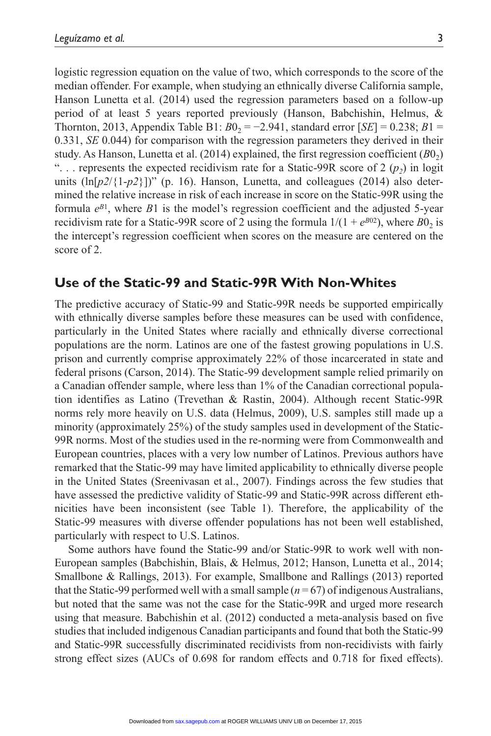logistic regression equation on the value of two, which corresponds to the score of the median offender. For example, when studying an ethnically diverse California sample, Hanson Lunetta et al. (2014) used the regression parameters based on a follow-up period of at least 5 years reported previously (Hanson, Babchishin, Helmus, & Thornton, 2013, Appendix Table B1:  $B0_2 = -2.941$ , standard error  $[SE] = 0.238$ ;  $B1 =$ 0.331, *SE* 0.044) for comparison with the regression parameters they derived in their study. As Hanson, Lunetta et al.  $(2014)$  explained, the first regression coefficient  $(B0<sub>2</sub>)$ "... represents the expected recidivism rate for a Static-99R score of 2  $(p_2)$  in logit units  $(\ln[p2/\{1-p2\}])$ " (p. 16). Hanson, Lunetta, and colleagues (2014) also determined the relative increase in risk of each increase in score on the Static-99R using the formula  $e^{B1}$ , where  $B1$  is the model's regression coefficient and the adjusted 5-year recidivism rate for a Static-99R score of 2 using the formula  $1/(1 + e^{B02})$ , where  $B0<sub>2</sub>$  is the intercept's regression coefficient when scores on the measure are centered on the score of 2.

## **Use of the Static-99 and Static-99R With Non-Whites**

The predictive accuracy of Static-99 and Static-99R needs be supported empirically with ethnically diverse samples before these measures can be used with confidence, particularly in the United States where racially and ethnically diverse correctional populations are the norm. Latinos are one of the fastest growing populations in U.S. prison and currently comprise approximately 22% of those incarcerated in state and federal prisons (Carson, 2014). The Static-99 development sample relied primarily on a Canadian offender sample, where less than 1% of the Canadian correctional population identifies as Latino (Trevethan & Rastin, 2004). Although recent Static-99R norms rely more heavily on U.S. data (Helmus, 2009), U.S. samples still made up a minority (approximately 25%) of the study samples used in development of the Static-99R norms. Most of the studies used in the re-norming were from Commonwealth and European countries, places with a very low number of Latinos. Previous authors have remarked that the Static-99 may have limited applicability to ethnically diverse people in the United States (Sreenivasan et al., 2007). Findings across the few studies that have assessed the predictive validity of Static-99 and Static-99R across different ethnicities have been inconsistent (see Table 1). Therefore, the applicability of the Static-99 measures with diverse offender populations has not been well established, particularly with respect to U.S. Latinos.

Some authors have found the Static-99 and/or Static-99R to work well with non-European samples (Babchishin, Blais, & Helmus, 2012; Hanson, Lunetta et al., 2014; Smallbone & Rallings, 2013). For example, Smallbone and Rallings (2013) reported that the Static-99 performed well with a small sample  $(n=67)$  of indigenous Australians, but noted that the same was not the case for the Static-99R and urged more research using that measure. Babchishin et al. (2012) conducted a meta-analysis based on five studies that included indigenous Canadian participants and found that both the Static-99 and Static-99R successfully discriminated recidivists from non-recidivists with fairly strong effect sizes (AUCs of 0.698 for random effects and 0.718 for fixed effects).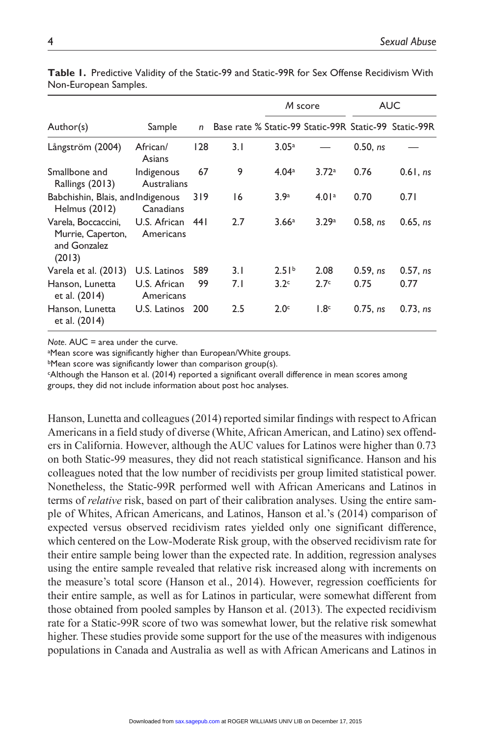|                                                                    |                                  |      |                                                       | M score           |                  | <b>AUC</b> |          |
|--------------------------------------------------------------------|----------------------------------|------|-------------------------------------------------------|-------------------|------------------|------------|----------|
| Author(s)                                                          | Sample                           | n    | Base rate % Static-99 Static-99R Static-99 Static-99R |                   |                  |            |          |
| Långström (2004)                                                   | African/<br>Asians               | 128  | 3.1                                                   | 3.05 <sup>a</sup> |                  | 0.50, ns   |          |
| Smallbone and<br>Rallings (2013)                                   | Indigenous<br><b>Australians</b> | 67   | 9                                                     | 4.04 <sup>a</sup> | 3.72a            | 0.76       | 0.61, ns |
| Babchishin, Blais, and Indigenous<br>Helmus (2012)                 | Canadians                        | 319  | 16                                                    | 3.9 <sup>a</sup>  | 4.01a            | 0.70       | 0.71     |
| Varela, Boccaccini,<br>Murrie, Caperton,<br>and Gonzalez<br>(2013) | U.S. African<br>Americans        | 44 I | 2.7                                                   | 3.66 <sup>a</sup> | 3.29a            | 0.58, ns   | 0.65, ns |
| Varela et al. (2013)                                               | U.S. Latinos                     | 589  | 3.1                                                   | 2.51 <sup>b</sup> | 2.08             | 0.59, ns   | 0.57, ns |
| Hanson, Lunetta<br>et al. (2014)                                   | U.S. African<br>Americans        | 99   | 7.1                                                   | 3.2 <sup>c</sup>  | 2.7 <sup>c</sup> | 0.75       | 0.77     |
| Hanson, Lunetta<br>et al. (2014)                                   | U.S. Latinos                     | 200  | 2.5                                                   | 2.0 <sup>c</sup>  | 1.8 <sup>c</sup> | 0.75, ns   | 0.73, ns |

**Table 1.** Predictive Validity of the Static-99 and Static-99R for Sex Offense Recidivism With Non-European Samples.

*Note*. AUC = area under the curve.

<sup>a</sup>Mean score was significantly higher than European/White groups.

**Mean score was significantly lower than comparison group(s).** 

cAlthough the Hanson et al. (2014) reported a significant overall difference in mean scores among groups, they did not include information about post hoc analyses.

Hanson, Lunetta and colleagues (2014) reported similar findings with respect to African Americans in a field study of diverse (White, African American, and Latino) sex offenders in California. However, although the AUC values for Latinos were higher than 0.73 on both Static-99 measures, they did not reach statistical significance. Hanson and his colleagues noted that the low number of recidivists per group limited statistical power. Nonetheless, the Static-99R performed well with African Americans and Latinos in terms of *relative* risk, based on part of their calibration analyses. Using the entire sample of Whites, African Americans, and Latinos, Hanson et al.'s (2014) comparison of expected versus observed recidivism rates yielded only one significant difference, which centered on the Low-Moderate Risk group, with the observed recidivism rate for their entire sample being lower than the expected rate. In addition, regression analyses using the entire sample revealed that relative risk increased along with increments on the measure's total score (Hanson et al., 2014). However, regression coefficients for their entire sample, as well as for Latinos in particular, were somewhat different from those obtained from pooled samples by Hanson et al. (2013). The expected recidivism rate for a Static-99R score of two was somewhat lower, but the relative risk somewhat higher. These studies provide some support for the use of the measures with indigenous populations in Canada and Australia as well as with African Americans and Latinos in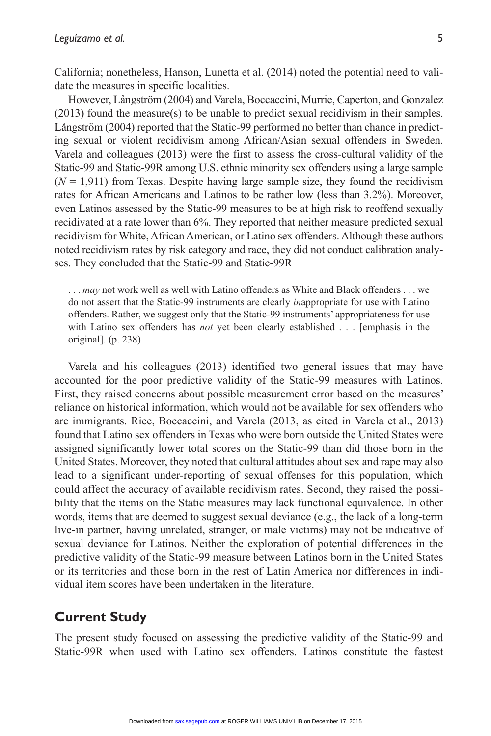California; nonetheless, Hanson, Lunetta et al. (2014) noted the potential need to validate the measures in specific localities.

However, Långström (2004) and Varela, Boccaccini, Murrie, Caperton, and Gonzalez (2013) found the measure(s) to be unable to predict sexual recidivism in their samples. Långström (2004) reported that the Static-99 performed no better than chance in predicting sexual or violent recidivism among African/Asian sexual offenders in Sweden. Varela and colleagues (2013) were the first to assess the cross-cultural validity of the Static-99 and Static-99R among U.S. ethnic minority sex offenders using a large sample  $(N = 1.911)$  from Texas. Despite having large sample size, they found the recidivism rates for African Americans and Latinos to be rather low (less than 3.2%). Moreover, even Latinos assessed by the Static-99 measures to be at high risk to reoffend sexually recidivated at a rate lower than 6%. They reported that neither measure predicted sexual recidivism for White, African American, or Latino sex offenders. Although these authors noted recidivism rates by risk category and race, they did not conduct calibration analyses. They concluded that the Static-99 and Static-99R

. . . *may* not work well as well with Latino offenders as White and Black offenders . . . we do not assert that the Static-99 instruments are clearly *in*appropriate for use with Latino offenders. Rather, we suggest only that the Static-99 instruments' appropriateness for use with Latino sex offenders has *not* yet been clearly established . . . [emphasis in the original]. (p. 238)

Varela and his colleagues (2013) identified two general issues that may have accounted for the poor predictive validity of the Static-99 measures with Latinos. First, they raised concerns about possible measurement error based on the measures' reliance on historical information, which would not be available for sex offenders who are immigrants. Rice, Boccaccini, and Varela (2013, as cited in Varela et al., 2013) found that Latino sex offenders in Texas who were born outside the United States were assigned significantly lower total scores on the Static-99 than did those born in the United States. Moreover, they noted that cultural attitudes about sex and rape may also lead to a significant under-reporting of sexual offenses for this population, which could affect the accuracy of available recidivism rates. Second, they raised the possibility that the items on the Static measures may lack functional equivalence. In other words, items that are deemed to suggest sexual deviance (e.g., the lack of a long-term live-in partner, having unrelated, stranger, or male victims) may not be indicative of sexual deviance for Latinos. Neither the exploration of potential differences in the predictive validity of the Static-99 measure between Latinos born in the United States or its territories and those born in the rest of Latin America nor differences in individual item scores have been undertaken in the literature.

## **Current Study**

The present study focused on assessing the predictive validity of the Static-99 and Static-99R when used with Latino sex offenders. Latinos constitute the fastest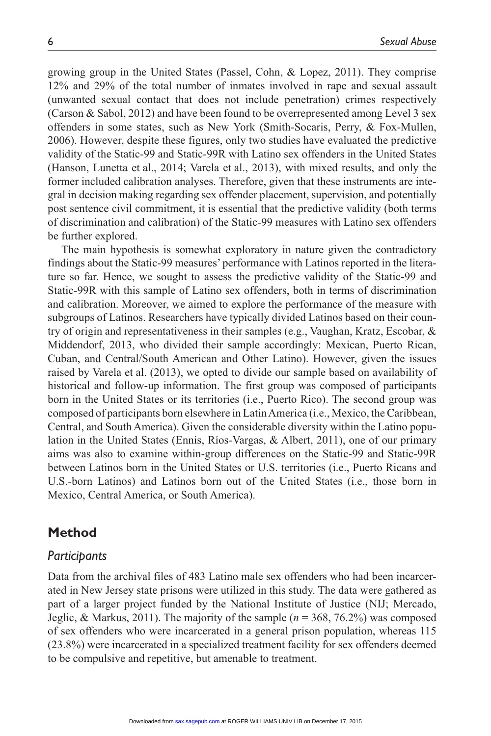growing group in the United States (Passel, Cohn, & Lopez, 2011). They comprise 12% and 29% of the total number of inmates involved in rape and sexual assault (unwanted sexual contact that does not include penetration) crimes respectively (Carson & Sabol, 2012) and have been found to be overrepresented among Level 3 sex offenders in some states, such as New York (Smith-Socaris, Perry, & Fox-Mullen, 2006). However, despite these figures, only two studies have evaluated the predictive validity of the Static-99 and Static-99R with Latino sex offenders in the United States (Hanson, Lunetta et al., 2014; Varela et al., 2013), with mixed results, and only the former included calibration analyses. Therefore, given that these instruments are integral in decision making regarding sex offender placement, supervision, and potentially post sentence civil commitment, it is essential that the predictive validity (both terms of discrimination and calibration) of the Static-99 measures with Latino sex offenders be further explored.

The main hypothesis is somewhat exploratory in nature given the contradictory findings about the Static-99 measures' performance with Latinos reported in the literature so far. Hence, we sought to assess the predictive validity of the Static-99 and Static-99R with this sample of Latino sex offenders, both in terms of discrimination and calibration. Moreover, we aimed to explore the performance of the measure with subgroups of Latinos. Researchers have typically divided Latinos based on their country of origin and representativeness in their samples (e.g., Vaughan, Kratz, Escobar, & Middendorf, 2013, who divided their sample accordingly: Mexican, Puerto Rican, Cuban, and Central/South American and Other Latino). However, given the issues raised by Varela et al. (2013), we opted to divide our sample based on availability of historical and follow-up information. The first group was composed of participants born in the United States or its territories (i.e., Puerto Rico). The second group was composed of participants born elsewhere in Latin America (i.e., Mexico, the Caribbean, Central, and South America). Given the considerable diversity within the Latino population in the United States (Ennis, Ríos-Vargas, & Albert, 2011), one of our primary aims was also to examine within-group differences on the Static-99 and Static-99R between Latinos born in the United States or U.S. territories (i.e., Puerto Ricans and U.S.-born Latinos) and Latinos born out of the United States (i.e., those born in Mexico, Central America, or South America).

## **Method**

#### *Participants*

Data from the archival files of 483 Latino male sex offenders who had been incarcerated in New Jersey state prisons were utilized in this study. The data were gathered as part of a larger project funded by the National Institute of Justice (NIJ; Mercado, Jeglic, & Markus, 2011). The majority of the sample (*n* = 368, 76.2%) was composed of sex offenders who were incarcerated in a general prison population, whereas 115 (23.8%) were incarcerated in a specialized treatment facility for sex offenders deemed to be compulsive and repetitive, but amenable to treatment.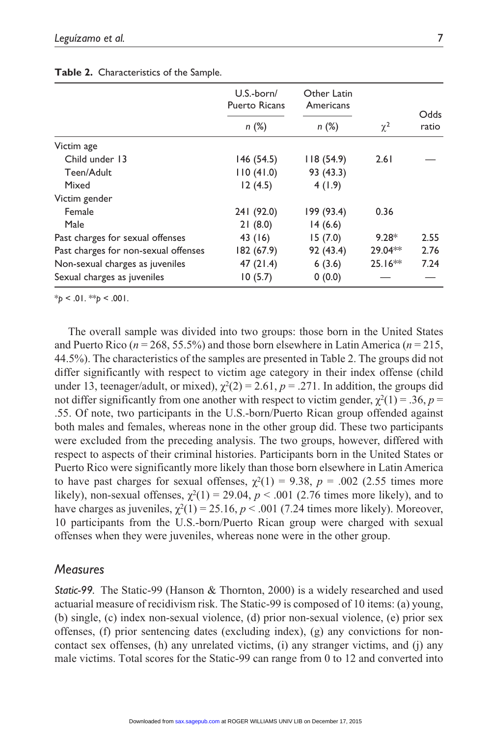|                                      | $U.S.-born/$<br><b>Puerto Ricans</b> | Other Latin<br>Americans |           |               |
|--------------------------------------|--------------------------------------|--------------------------|-----------|---------------|
|                                      | $n$ (%)                              | n(%)                     | $\chi^2$  | Odds<br>ratio |
| Victim age                           |                                      |                          |           |               |
| Child under 13                       | 146 (54.5)                           | 118(54.9)                | 2.61      |               |
| Teen/Adult                           | 110(41.0)                            | 93 (43.3)                |           |               |
| Mixed                                | 12(4.5)                              | 4(1.9)                   |           |               |
| Victim gender                        |                                      |                          |           |               |
| Female                               | 241 (92.0)                           | 199 (93.4)               | 0.36      |               |
| Male                                 | 21(8.0)                              | 14(6.6)                  |           |               |
| Past charges for sexual offenses     | 43 (16)                              | 15(7.0)                  | $9.28*$   | 2.55          |
| Past charges for non-sexual offenses | 182 (67.9)                           | 92 (43.4)                | 29.04**   | 2.76          |
| Non-sexual charges as juveniles      | 47 $(21.4)$                          | 6(3.6)                   | $25.16**$ | 7.24          |
| Sexual charges as juveniles          | 10(5.7)                              | 0(0.0)                   |           |               |

#### **Table 2.** Characteristics of the Sample.

 $*_{p}$  < .01.  $*_{p}$  < .001.

The overall sample was divided into two groups: those born in the United States and Puerto Rico ( $n = 268, 55.5\%$ ) and those born elsewhere in Latin America ( $n = 215$ , 44.5%). The characteristics of the samples are presented in Table 2. The groups did not differ significantly with respect to victim age category in their index offense (child under 13, teenager/adult, or mixed),  $\chi^2(2) = 2.61$ ,  $p = .271$ . In addition, the groups did not differ significantly from one another with respect to victim gender,  $\chi^2(1) = .36$ ,  $p =$ .55. Of note, two participants in the U.S.-born/Puerto Rican group offended against both males and females, whereas none in the other group did. These two participants were excluded from the preceding analysis. The two groups, however, differed with respect to aspects of their criminal histories. Participants born in the United States or Puerto Rico were significantly more likely than those born elsewhere in Latin America to have past charges for sexual offenses,  $\chi^2(1) = 9.38$ ,  $p = .002$  (2.55 times more likely), non-sexual offenses,  $\chi^2(1) = 29.04$ ,  $p < .001$  (2.76 times more likely), and to have charges as juveniles,  $\chi^2(1) = 25.16$ ,  $p < .001$  (7.24 times more likely). Moreover, 10 participants from the U.S.-born/Puerto Rican group were charged with sexual offenses when they were juveniles, whereas none were in the other group.

#### *Measures*

*Static-99.* The Static-99 (Hanson & Thornton, 2000) is a widely researched and used actuarial measure of recidivism risk. The Static-99 is composed of 10 items: (a) young, (b) single, (c) index non-sexual violence, (d) prior non-sexual violence, (e) prior sex offenses, (f) prior sentencing dates (excluding index), (g) any convictions for noncontact sex offenses, (h) any unrelated victims, (i) any stranger victims, and (j) any male victims. Total scores for the Static-99 can range from 0 to 12 and converted into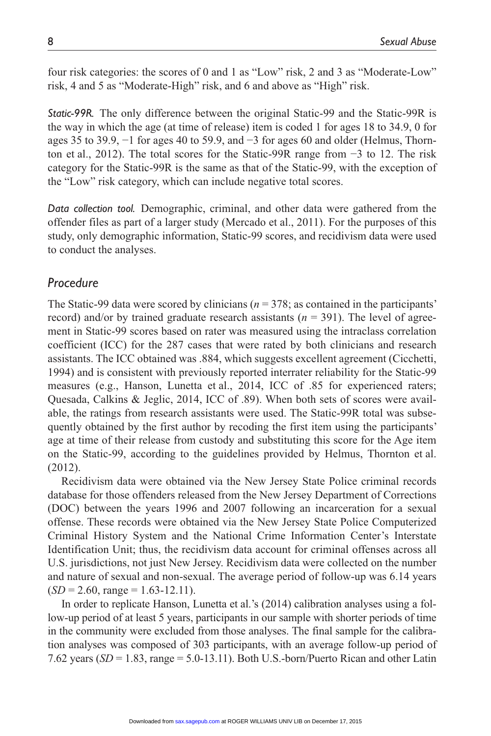four risk categories: the scores of 0 and 1 as "Low" risk, 2 and 3 as "Moderate-Low" risk, 4 and 5 as "Moderate-High" risk, and 6 and above as "High" risk.

*Static-99R.* The only difference between the original Static-99 and the Static-99R is the way in which the age (at time of release) item is coded 1 for ages 18 to 34.9, 0 for ages 35 to 39.9, −1 for ages 40 to 59.9, and −3 for ages 60 and older (Helmus, Thornton et al., 2012). The total scores for the Static-99R range from −3 to 12. The risk category for the Static-99R is the same as that of the Static-99, with the exception of the "Low" risk category, which can include negative total scores.

*Data collection tool.* Demographic, criminal, and other data were gathered from the offender files as part of a larger study (Mercado et al., 2011). For the purposes of this study, only demographic information, Static-99 scores, and recidivism data were used to conduct the analyses.

### *Procedure*

The Static-99 data were scored by clinicians (*n* = 378; as contained in the participants' record) and/or by trained graduate research assistants  $(n = 391)$ . The level of agreement in Static-99 scores based on rater was measured using the intraclass correlation coefficient (ICC) for the 287 cases that were rated by both clinicians and research assistants. The ICC obtained was .884, which suggests excellent agreement (Cicchetti, 1994) and is consistent with previously reported interrater reliability for the Static-99 measures (e.g., Hanson, Lunetta et al., 2014, ICC of .85 for experienced raters; Quesada, Calkins & Jeglic, 2014, ICC of .89). When both sets of scores were available, the ratings from research assistants were used. The Static-99R total was subsequently obtained by the first author by recoding the first item using the participants' age at time of their release from custody and substituting this score for the Age item on the Static-99, according to the guidelines provided by Helmus, Thornton et al. (2012).

Recidivism data were obtained via the New Jersey State Police criminal records database for those offenders released from the New Jersey Department of Corrections (DOC) between the years 1996 and 2007 following an incarceration for a sexual offense. These records were obtained via the New Jersey State Police Computerized Criminal History System and the National Crime Information Center's Interstate Identification Unit; thus, the recidivism data account for criminal offenses across all U.S. jurisdictions, not just New Jersey. Recidivism data were collected on the number and nature of sexual and non-sexual. The average period of follow-up was 6.14 years  $(SD = 2.60, \text{ range} = 1.63 - 12.11).$ 

In order to replicate Hanson, Lunetta et al.'s (2014) calibration analyses using a follow-up period of at least 5 years, participants in our sample with shorter periods of time in the community were excluded from those analyses. The final sample for the calibration analyses was composed of 303 participants, with an average follow-up period of 7.62 years  $(SD = 1.83$ , range  $= 5.0$ -13.11). Both U.S.-born/Puerto Rican and other Latin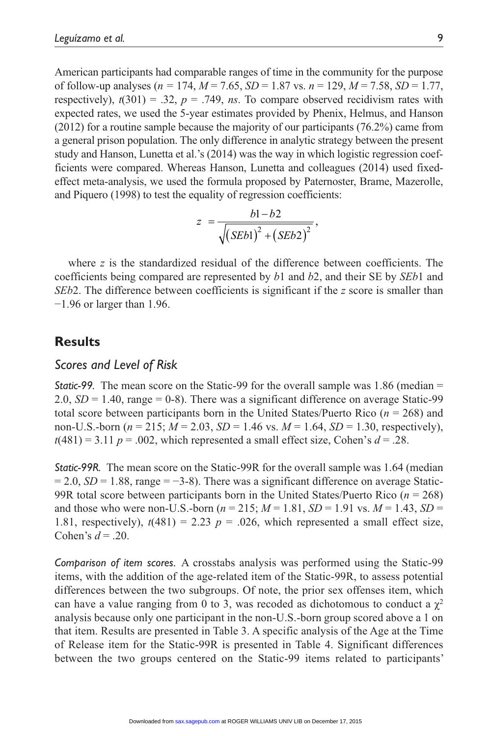American participants had comparable ranges of time in the community for the purpose of follow-up analyses (*n =* 174, *M* = 7.65, *SD* = 1.87 vs. *n* = 129, *M* = 7.58, *SD* = 1.77, respectively),  $t(301) = .32$ ,  $p = .749$ , *ns*. To compare observed recidivism rates with expected rates, we used the 5-year estimates provided by Phenix, Helmus, and Hanson (2012) for a routine sample because the majority of our participants (76.2%) came from a general prison population. The only difference in analytic strategy between the present study and Hanson, Lunetta et al.'s (2014) was the way in which logistic regression coefficients were compared. Whereas Hanson, Lunetta and colleagues (2014) used fixedeffect meta-analysis, we used the formula proposed by Paternoster, Brame, Mazerolle, and Piquero (1998) to test the equality of regression coefficients:

$$
z = \frac{b1 - b2}{\sqrt{\left(SEb1\right)^2 + \left(SEb2\right)^2}},
$$

where *z* is the standardized residual of the difference between coefficients. The coefficients being compared are represented by *b*1 and *b*2, and their SE by *SEb*1 and *SEb*2. The difference between coefficients is significant if the *z* score is smaller than −1.96 or larger than 1.96.

## **Results**

#### *Scores and Level of Risk*

*Static-99.* The mean score on the Static-99 for the overall sample was 1.86 (median =  $2.0, SD = 1.40$ , range = 0-8). There was a significant difference on average Static-99 total score between participants born in the United States/Puerto Rico ( $n = 268$ ) and non-U.S.-born ( $n = 215$ ;  $M = 2.03$ ,  $SD = 1.46$  vs.  $M = 1.64$ ,  $SD = 1.30$ , respectively),  $t(481) = 3.11$   $p = .002$ , which represented a small effect size, Cohen's  $d = .28$ .

*Static-99R.* The mean score on the Static-99R for the overall sample was 1.64 (median  $= 2.0, SD = 1.88$ , range  $= -3-8$ ). There was a significant difference on average Static-99R total score between participants born in the United States/Puerto Rico (*n* = 268) and those who were non-U.S.-born (*n* = 215; *M* = 1.81, *SD* = 1.91 vs. *M* = 1.43, *SD* = 1.81, respectively),  $t(481) = 2.23$   $p = .026$ , which represented a small effect size, Cohen's *d* = .20.

*Comparison of item scores.* A crosstabs analysis was performed using the Static-99 items, with the addition of the age-related item of the Static-99R, to assess potential differences between the two subgroups. Of note, the prior sex offenses item, which can have a value ranging from 0 to 3, was recoded as dichotomous to conduct a  $\chi^2$ analysis because only one participant in the non-U.S.-born group scored above a 1 on that item. Results are presented in Table 3. A specific analysis of the Age at the Time of Release item for the Static-99R is presented in Table 4. Significant differences between the two groups centered on the Static-99 items related to participants'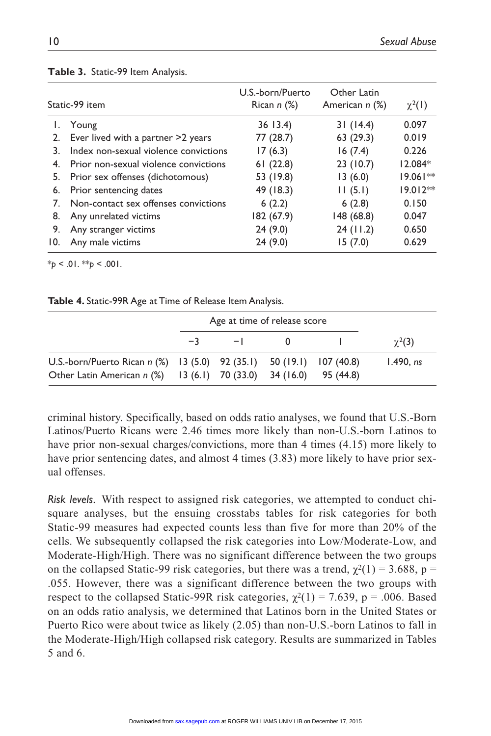#### **Table 3.** Static-99 Item Analysis.

| Static-99 item |                                       | U.S.-born/Puerto<br>Rican $n$ $%$ | Other Latin<br>American n (%) | $\chi^2(1)$ |
|----------------|---------------------------------------|-----------------------------------|-------------------------------|-------------|
| Ι.             | Young                                 | $36$ $13.4$ )                     | 31(14.4)                      | 0.097       |
|                | 2. Ever lived with a partner >2 years | 77 (28.7)                         | 63(29.3)                      | 0.019       |
| 3.             | Index non-sexual violence convictions | 17(6.3)                           | 16(7.4)                       | 0.226       |
| 4.             | Prior non-sexual violence convictions | 61(22.8)                          | 23(10.7)                      | $12.084*$   |
|                | 5. Prior sex offenses (dichotomous)   | 53 (19.8)                         | 13(6.0)                       | $19.061**$  |
|                | 6. Prior sentencing dates             | 49 (18.3)                         | 11(5.1)                       | $19.012**$  |
| 7.             | Non-contact sex offenses convictions  | 6(2.2)                            | 6(2.8)                        | 0.150       |
| 8.             | Any unrelated victims                 | 182 (67.9)                        | 148 (68.8)                    | 0.047       |
| 9.             | Any stranger victims                  | 24(9.0)                           | 24(11.2)                      | 0.650       |
| 10.            | Any male victims                      | 24(9.0)                           | 15(7.0)                       | 0.629       |

\**p* < .01. \*\**p* < .001.

#### **Table 4.** Static-99R Age at Time of Release Item Analysis.

|                                                                                                                                           |      | Age at time of release score |              |               |
|-------------------------------------------------------------------------------------------------------------------------------------------|------|------------------------------|--------------|---------------|
|                                                                                                                                           | $-3$ | $-1$                         | $\mathbf{0}$ | $\gamma^2(3)$ |
| U.S.-born/Puerto Rican n (%) 13 (5.0) 92 (35.1) 50 (19.1) 107 (40.8)<br>Other Latin American n (%) 13 (6.1) 70 (33.0) 34 (16.0) 95 (44.8) |      |                              |              | 1.490, ns     |

criminal history. Specifically, based on odds ratio analyses, we found that U.S.-Born Latinos/Puerto Ricans were 2.46 times more likely than non-U.S.-born Latinos to have prior non-sexual charges/convictions, more than 4 times (4.15) more likely to have prior sentencing dates, and almost 4 times  $(3.83)$  more likely to have prior sexual offenses.

*Risk levels.* With respect to assigned risk categories, we attempted to conduct chisquare analyses, but the ensuing crosstabs tables for risk categories for both Static-99 measures had expected counts less than five for more than 20% of the cells. We subsequently collapsed the risk categories into Low/Moderate-Low, and Moderate-High/High. There was no significant difference between the two groups on the collapsed Static-99 risk categories, but there was a trend,  $\chi^2(1) = 3.688$ , p = .055. However, there was a significant difference between the two groups with respect to the collapsed Static-99R risk categories,  $\chi^2(1) = 7.639$ , p = .006. Based on an odds ratio analysis, we determined that Latinos born in the United States or Puerto Rico were about twice as likely (2.05) than non-U.S.-born Latinos to fall in the Moderate-High/High collapsed risk category. Results are summarized in Tables 5 and 6.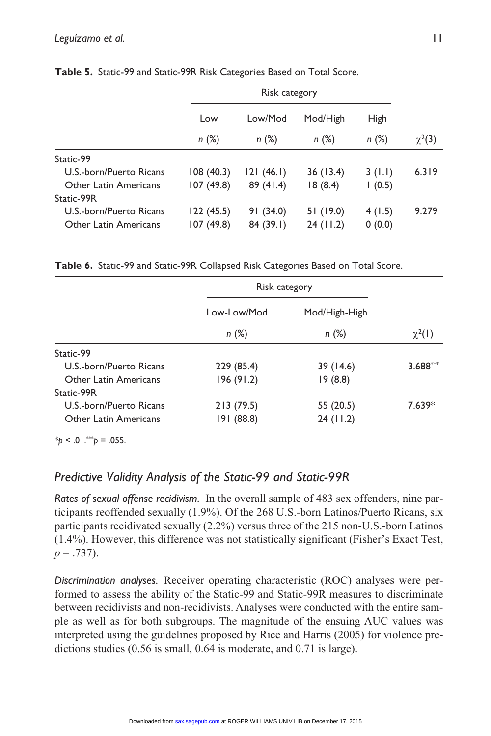|                         | Low        | Low/Mod   | Mod/High  | <b>High</b> |             |
|-------------------------|------------|-----------|-----------|-------------|-------------|
|                         | n (%)      | n(%)      | n(%)      | n(%)        | $\chi^2(3)$ |
| Static-99               |            |           |           |             |             |
| U.S.-born/Puerto Ricans | 108(40.3)  | 121(46.1) | 36 (13.4) | 3(1.1)      | 6.319       |
| Other Latin Americans   | 107(49.8)  | 89(41.4)  | 18(8.4)   | (0.5)       |             |
| Static-99R              |            |           |           |             |             |
| U.S.-born/Puerto Ricans | 122 (45.5) | 91 (34.0) | 51 (19.0) | 4(1.5)      | 9.279       |
| Other Latin Americans   | 107 (49.8) | 84 (39.1) | 24(11.2)  | 0(0.0)      |             |

**Table 5.** Static-99 and Static-99R Risk Categories Based on Total Score.

**Table 6.** Static-99 and Static-99R Collapsed Risk Categories Based on Total Score.

|                         | Risk category |               |             |
|-------------------------|---------------|---------------|-------------|
|                         | Low-Low/Mod   | Mod/High-High |             |
|                         | n(%)          | n(%)          | $\chi^2(1)$ |
| Static-99               |               |               |             |
| U.S.-born/Puerto Ricans | 229 (85.4)    | 39 (14.6)     | $3.688***$  |
| Other Latin Americans   | 196(91.2)     | 19(8.8)       |             |
| Static-99R              |               |               |             |
| U.S.-born/Puerto Ricans | 213(79.5)     | 55 (20.5)     | $7.639*$    |
| Other Latin Americans   | 191 (88.8)    | 24(11.2)      |             |

 $*_{p}$  < .01.\*\**p* = .055.

## *Predictive Validity Analysis of the Static-99 and Static-99R*

*Rates of sexual offense recidivism.* In the overall sample of 483 sex offenders, nine participants reoffended sexually (1.9%). Of the 268 U.S.-born Latinos/Puerto Ricans, six participants recidivated sexually (2.2%) versus three of the 215 non-U.S.-born Latinos (1.4%). However, this difference was not statistically significant (Fisher's Exact Test,  $p = .737$ ).

*Discrimination analyses.* Receiver operating characteristic (ROC) analyses were performed to assess the ability of the Static-99 and Static-99R measures to discriminate between recidivists and non-recidivists. Analyses were conducted with the entire sample as well as for both subgroups. The magnitude of the ensuing AUC values was interpreted using the guidelines proposed by Rice and Harris (2005) for violence predictions studies (0.56 is small, 0.64 is moderate, and 0.71 is large).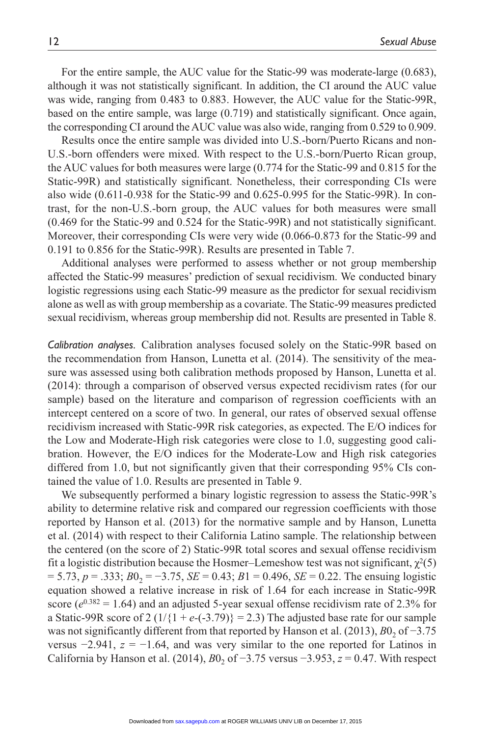For the entire sample, the AUC value for the Static-99 was moderate-large (0.683), although it was not statistically significant. In addition, the CI around the AUC value was wide, ranging from 0.483 to 0.883. However, the AUC value for the Static-99R, based on the entire sample, was large (0.719) and statistically significant. Once again, the corresponding CI around the AUC value was also wide, ranging from 0.529 to 0.909.

Results once the entire sample was divided into U.S.-born/Puerto Ricans and non-U.S.-born offenders were mixed. With respect to the U.S.-born/Puerto Rican group, the AUC values for both measures were large (0.774 for the Static-99 and 0.815 for the Static-99R) and statistically significant. Nonetheless, their corresponding CIs were also wide (0.611-0.938 for the Static-99 and 0.625-0.995 for the Static-99R). In contrast, for the non-U.S.-born group, the AUC values for both measures were small (0.469 for the Static-99 and 0.524 for the Static-99R) and not statistically significant. Moreover, their corresponding CIs were very wide (0.066-0.873 for the Static-99 and 0.191 to 0.856 for the Static-99R). Results are presented in Table 7.

Additional analyses were performed to assess whether or not group membership affected the Static-99 measures' prediction of sexual recidivism. We conducted binary logistic regressions using each Static-99 measure as the predictor for sexual recidivism alone as well as with group membership as a covariate. The Static-99 measures predicted sexual recidivism, whereas group membership did not. Results are presented in Table 8.

*Calibration analyses.* Calibration analyses focused solely on the Static-99R based on the recommendation from Hanson, Lunetta et al. (2014). The sensitivity of the measure was assessed using both calibration methods proposed by Hanson, Lunetta et al. (2014): through a comparison of observed versus expected recidivism rates (for our sample) based on the literature and comparison of regression coefficients with an intercept centered on a score of two. In general, our rates of observed sexual offense recidivism increased with Static-99R risk categories, as expected. The E/O indices for the Low and Moderate-High risk categories were close to 1.0, suggesting good calibration. However, the E/O indices for the Moderate-Low and High risk categories differed from 1.0, but not significantly given that their corresponding 95% CIs contained the value of 1.0. Results are presented in Table 9.

We subsequently performed a binary logistic regression to assess the Static-99R's ability to determine relative risk and compared our regression coefficients with those reported by Hanson et al. (2013) for the normative sample and by Hanson, Lunetta et al. (2014) with respect to their California Latino sample. The relationship between the centered (on the score of 2) Static-99R total scores and sexual offense recidivism fit a logistic distribution because the Hosmer–Lemeshow test was not significant,  $\chi^2(5)$  $= 5.73, p = .333; B0<sub>2</sub> = -3.75, SE = 0.43; B1 = 0.496, SE = 0.22$ . The ensuing logistic equation showed a relative increase in risk of 1.64 for each increase in Static-99R score  $(e^{0.382} = 1.64)$  and an adjusted 5-year sexual offense recidivism rate of 2.3% for a Static-99R score of 2  $(1/\{1 + e(-3.79)\} = 2.3)$  The adjusted base rate for our sample was not significantly different from that reported by Hanson et al. (2013), *B*0<sub>2</sub> of −3.75 versus  $-2.941$ ,  $z = -1.64$ , and was very similar to the one reported for Latinos in California by Hanson et al. (2014),  $B0_2$  of  $-3.75$  versus  $-3.953$ ,  $z = 0.47$ . With respect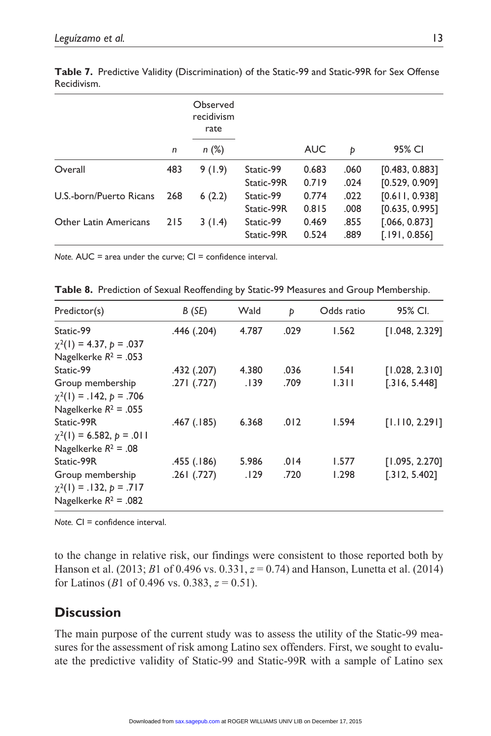|                              |     | Observed<br>recidivism<br>rate |            |            |      |                |
|------------------------------|-----|--------------------------------|------------|------------|------|----------------|
|                              | n   | n(%)                           |            | <b>AUC</b> | Þ    | 95% CI         |
| Overall                      | 483 | 9(1.9)                         | Static-99  | 0.683      | .060 | [0.483, 0.883] |
|                              |     |                                | Static-99R | 0.719      | .024 | [0.529, 0.909] |
| U.S.-born/Puerto Ricans      | 268 | 6(2.2)                         | Static-99  | 0.774      | .022 | [0.611, 0.938] |
|                              |     |                                | Static-99R | 0.815      | .008 | [0.635, 0.995] |
| <b>Other Latin Americans</b> | 215 | 3(1.4)                         | Static-99  | 0.469      | .855 | [.066, 0.873]  |
|                              |     |                                | Static-99R | 0.524      | .889 | [.191, 0.856]  |

Table 7. Predictive Validity (Discrimination) of the Static-99 and Static-99R for Sex Offense Recidivism.

*Note.* AUC = area under the curve; CI = confidence interval.

| Predictor(s)                                                                | B(SE)       | Wald  | Þ    | Odds ratio | 95% CI.        |
|-----------------------------------------------------------------------------|-------------|-------|------|------------|----------------|
| Static-99                                                                   | .446 (.204) | 4.787 | .029 | 1.562      | [1.048, 2.329] |
| $\gamma^2(1) = 4.37, p = .037$                                              |             |       |      |            |                |
| Nagelkerke $R^2 = .053$                                                     |             |       |      |            |                |
| Static-99                                                                   | .432(.207)  | 4.380 | .036 | 1.541      | [1.028, 2.310] |
| Group membership<br>$\chi^2(1) = .142, p = .706$                            | .271(.727)  | .139  | .709 | 1.311      | [.316, 5.448]  |
| Nagelkerke $R^2$ = .055                                                     |             |       |      |            |                |
| Static-99R<br>$\gamma^2(1) = 6.582, p = .011$                               | .467 (.185) | 6.368 | .012 | 1.594      | [1.110, 2.291] |
| Nagelkerke $R^2 = .08$                                                      |             |       |      |            |                |
| Static-99R                                                                  | .455 (.186) | 5.986 | .014 | 1.577      | [1.095, 2.270] |
| Group membership<br>$\chi^2(1) = .132, p = .717$<br>Nagelkerke $R^2$ = .082 | .261(.727)  | .129  | .720 | 1.298      | [.312, 5.402]  |

**Table 8.** Prediction of Sexual Reoffending by Static-99 Measures and Group Membership.

*Note.* CI = confidence interval.

to the change in relative risk, our findings were consistent to those reported both by Hanson et al. (2013; *B*1 of 0.496 vs. 0.331, *z* = 0.74) and Hanson, Lunetta et al. (2014) for Latinos (*B*1 of 0.496 vs. 0.383,  $z = 0.51$ ).

## **Discussion**

The main purpose of the current study was to assess the utility of the Static-99 measures for the assessment of risk among Latino sex offenders. First, we sought to evaluate the predictive validity of Static-99 and Static-99R with a sample of Latino sex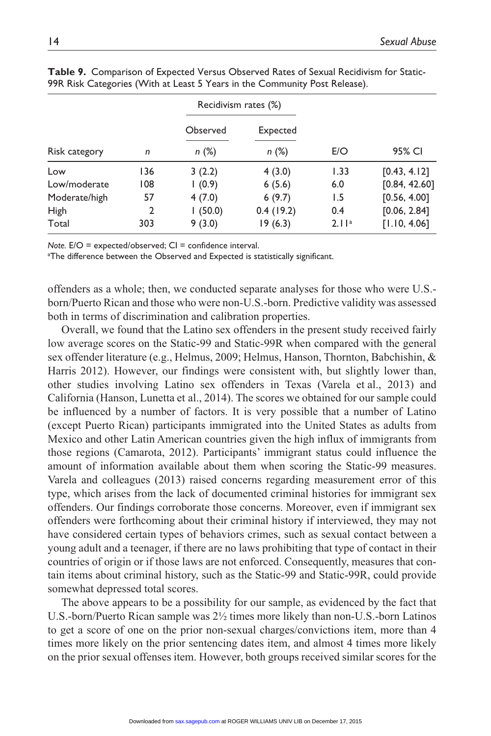|               |     | Recidivism rates (%) |           |       |               |
|---------------|-----|----------------------|-----------|-------|---------------|
|               |     | Observed             | Expected  |       |               |
| Risk category | n   | n(%)                 | $n$ (%)   | E/O   | 95% CI        |
| Low           | 136 | 3(2.2)               | 4(3.0)    | 1.33  | [0.43, 4.12]  |
| Low/moderate  | 108 | 1(0.9)               | 6(5.6)    | 6.0   | [0.84, 42.60] |
| Moderate/high | 57  | 4(7.0)               | 6(9.7)    | 1.5   | [0.56, 4.00]  |
| High          | 2   | 1(50.0)              | 0.4(19.2) | 0.4   | [0.06, 2.84]  |
| Total         | 303 | 9(3.0)               | 19(6.3)   | 2.11a | [1.10, 4.06]  |

**Table 9.** Comparison of Expected Versus Observed Rates of Sexual Recidivism for Static-99R Risk Categories (With at Least 5 Years in the Community Post Release).

*Note.* E/O = expected/observed; CI = confidence interval.

<sup>a</sup>The difference between the Observed and Expected is statistically significant.

offenders as a whole; then, we conducted separate analyses for those who were U.S. born/Puerto Rican and those who were non-U.S.-born. Predictive validity was assessed both in terms of discrimination and calibration properties.

Overall, we found that the Latino sex offenders in the present study received fairly low average scores on the Static-99 and Static-99R when compared with the general sex offender literature (e.g., Helmus, 2009; Helmus, Hanson, Thornton, Babchishin, & Harris 2012). However, our findings were consistent with, but slightly lower than, other studies involving Latino sex offenders in Texas (Varela et al., 2013) and California (Hanson, Lunetta et al., 2014). The scores we obtained for our sample could be influenced by a number of factors. It is very possible that a number of Latino (except Puerto Rican) participants immigrated into the United States as adults from Mexico and other Latin American countries given the high influx of immigrants from those regions (Camarota, 2012). Participants' immigrant status could influence the amount of information available about them when scoring the Static-99 measures. Varela and colleagues (2013) raised concerns regarding measurement error of this type, which arises from the lack of documented criminal histories for immigrant sex offenders. Our findings corroborate those concerns. Moreover, even if immigrant sex offenders were forthcoming about their criminal history if interviewed, they may not have considered certain types of behaviors crimes, such as sexual contact between a young adult and a teenager, if there are no laws prohibiting that type of contact in their countries of origin or if those laws are not enforced. Consequently, measures that contain items about criminal history, such as the Static-99 and Static-99R, could provide somewhat depressed total scores.

The above appears to be a possibility for our sample, as evidenced by the fact that U.S.-born/Puerto Rican sample was 2½ times more likely than non-U.S.-born Latinos to get a score of one on the prior non-sexual charges/convictions item, more than 4 times more likely on the prior sentencing dates item, and almost 4 times more likely on the prior sexual offenses item. However, both groups received similar scores for the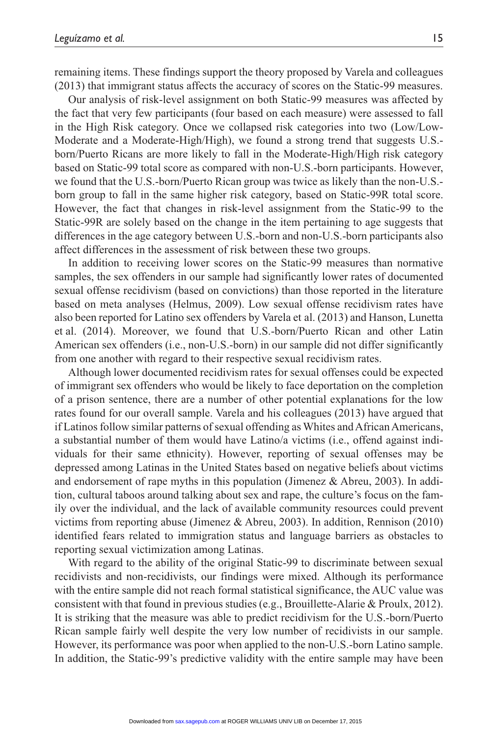remaining items. These findings support the theory proposed by Varela and colleagues (2013) that immigrant status affects the accuracy of scores on the Static-99 measures.

Our analysis of risk-level assignment on both Static-99 measures was affected by the fact that very few participants (four based on each measure) were assessed to fall in the High Risk category. Once we collapsed risk categories into two (Low/Low-Moderate and a Moderate-High/High), we found a strong trend that suggests U.S. born/Puerto Ricans are more likely to fall in the Moderate-High/High risk category based on Static-99 total score as compared with non-U.S.-born participants. However, we found that the U.S.-born/Puerto Rican group was twice as likely than the non-U.S. born group to fall in the same higher risk category, based on Static-99R total score. However, the fact that changes in risk-level assignment from the Static-99 to the Static-99R are solely based on the change in the item pertaining to age suggests that differences in the age category between U.S.-born and non-U.S.-born participants also affect differences in the assessment of risk between these two groups.

In addition to receiving lower scores on the Static-99 measures than normative samples, the sex offenders in our sample had significantly lower rates of documented sexual offense recidivism (based on convictions) than those reported in the literature based on meta analyses (Helmus, 2009). Low sexual offense recidivism rates have also been reported for Latino sex offenders by Varela et al. (2013) and Hanson, Lunetta et al. (2014). Moreover, we found that U.S.-born/Puerto Rican and other Latin American sex offenders (i.e., non-U.S.-born) in our sample did not differ significantly from one another with regard to their respective sexual recidivism rates.

Although lower documented recidivism rates for sexual offenses could be expected of immigrant sex offenders who would be likely to face deportation on the completion of a prison sentence, there are a number of other potential explanations for the low rates found for our overall sample. Varela and his colleagues (2013) have argued that if Latinos follow similar patterns of sexual offending as Whites and African Americans, a substantial number of them would have Latino/a victims (i.e., offend against individuals for their same ethnicity). However, reporting of sexual offenses may be depressed among Latinas in the United States based on negative beliefs about victims and endorsement of rape myths in this population (Jimenez & Abreu, 2003). In addition, cultural taboos around talking about sex and rape, the culture's focus on the family over the individual, and the lack of available community resources could prevent victims from reporting abuse (Jimenez & Abreu, 2003). In addition, Rennison (2010) identified fears related to immigration status and language barriers as obstacles to reporting sexual victimization among Latinas.

With regard to the ability of the original Static-99 to discriminate between sexual recidivists and non-recidivists, our findings were mixed. Although its performance with the entire sample did not reach formal statistical significance, the AUC value was consistent with that found in previous studies (e.g., Brouillette-Alarie & Proulx, 2012). It is striking that the measure was able to predict recidivism for the U.S.-born/Puerto Rican sample fairly well despite the very low number of recidivists in our sample. However, its performance was poor when applied to the non-U.S.-born Latino sample. In addition, the Static-99's predictive validity with the entire sample may have been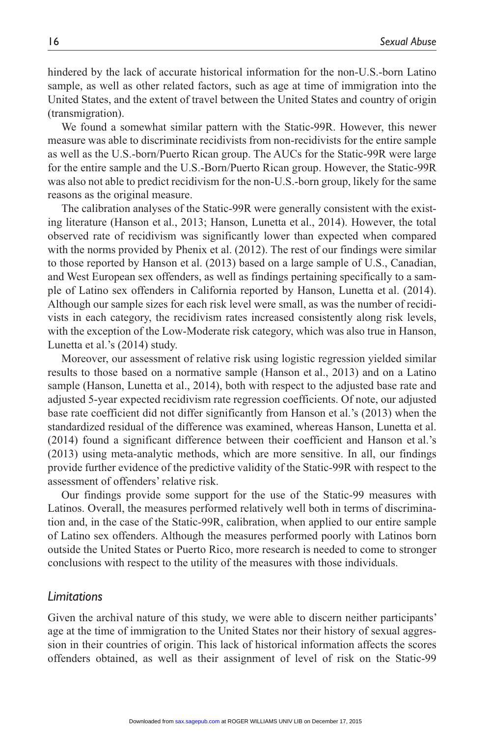hindered by the lack of accurate historical information for the non-U.S.-born Latino sample, as well as other related factors, such as age at time of immigration into the United States, and the extent of travel between the United States and country of origin (transmigration).

We found a somewhat similar pattern with the Static-99R. However, this newer measure was able to discriminate recidivists from non-recidivists for the entire sample as well as the U.S.-born/Puerto Rican group. The AUCs for the Static-99R were large for the entire sample and the U.S.-Born/Puerto Rican group. However, the Static-99R was also not able to predict recidivism for the non-U.S.-born group, likely for the same reasons as the original measure.

The calibration analyses of the Static-99R were generally consistent with the existing literature (Hanson et al., 2013; Hanson, Lunetta et al., 2014). However, the total observed rate of recidivism was significantly lower than expected when compared with the norms provided by Phenix et al. (2012). The rest of our findings were similar to those reported by Hanson et al. (2013) based on a large sample of U.S., Canadian, and West European sex offenders, as well as findings pertaining specifically to a sample of Latino sex offenders in California reported by Hanson, Lunetta et al. (2014). Although our sample sizes for each risk level were small, as was the number of recidivists in each category, the recidivism rates increased consistently along risk levels, with the exception of the Low-Moderate risk category, which was also true in Hanson, Lunetta et al.'s (2014) study.

Moreover, our assessment of relative risk using logistic regression yielded similar results to those based on a normative sample (Hanson et al., 2013) and on a Latino sample (Hanson, Lunetta et al., 2014), both with respect to the adjusted base rate and adjusted 5-year expected recidivism rate regression coefficients. Of note, our adjusted base rate coefficient did not differ significantly from Hanson et al.'s (2013) when the standardized residual of the difference was examined, whereas Hanson, Lunetta et al. (2014) found a significant difference between their coefficient and Hanson et al.'s (2013) using meta-analytic methods, which are more sensitive. In all, our findings provide further evidence of the predictive validity of the Static-99R with respect to the assessment of offenders' relative risk.

Our findings provide some support for the use of the Static-99 measures with Latinos. Overall, the measures performed relatively well both in terms of discrimination and, in the case of the Static-99R, calibration, when applied to our entire sample of Latino sex offenders. Although the measures performed poorly with Latinos born outside the United States or Puerto Rico, more research is needed to come to stronger conclusions with respect to the utility of the measures with those individuals.

### *Limitations*

Given the archival nature of this study, we were able to discern neither participants' age at the time of immigration to the United States nor their history of sexual aggression in their countries of origin. This lack of historical information affects the scores offenders obtained, as well as their assignment of level of risk on the Static-99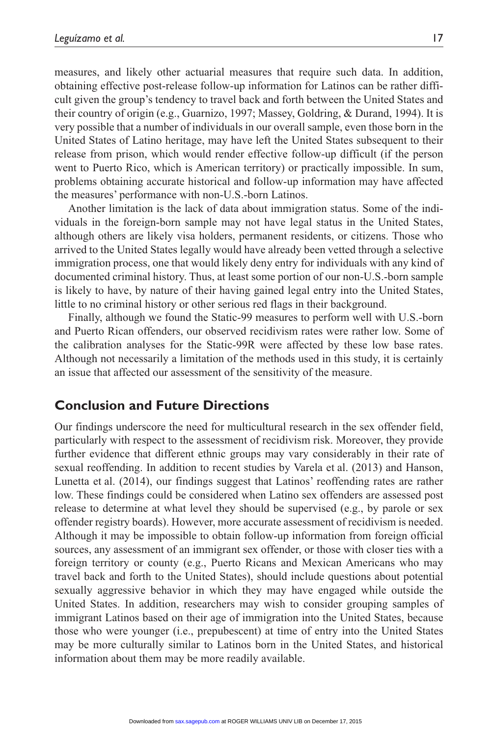measures, and likely other actuarial measures that require such data. In addition, obtaining effective post-release follow-up information for Latinos can be rather difficult given the group's tendency to travel back and forth between the United States and their country of origin (e.g., Guarnizo, 1997; Massey, Goldring, & Durand, 1994). It is very possible that a number of individuals in our overall sample, even those born in the United States of Latino heritage, may have left the United States subsequent to their release from prison, which would render effective follow-up difficult (if the person went to Puerto Rico, which is American territory) or practically impossible. In sum, problems obtaining accurate historical and follow-up information may have affected the measures' performance with non-U.S.-born Latinos.

Another limitation is the lack of data about immigration status. Some of the individuals in the foreign-born sample may not have legal status in the United States, although others are likely visa holders, permanent residents, or citizens. Those who arrived to the United States legally would have already been vetted through a selective immigration process, one that would likely deny entry for individuals with any kind of documented criminal history. Thus, at least some portion of our non-U.S.-born sample is likely to have, by nature of their having gained legal entry into the United States, little to no criminal history or other serious red flags in their background.

Finally, although we found the Static-99 measures to perform well with U.S.-born and Puerto Rican offenders, our observed recidivism rates were rather low. Some of the calibration analyses for the Static-99R were affected by these low base rates. Although not necessarily a limitation of the methods used in this study, it is certainly an issue that affected our assessment of the sensitivity of the measure.

## **Conclusion and Future Directions**

Our findings underscore the need for multicultural research in the sex offender field, particularly with respect to the assessment of recidivism risk. Moreover, they provide further evidence that different ethnic groups may vary considerably in their rate of sexual reoffending. In addition to recent studies by Varela et al. (2013) and Hanson, Lunetta et al. (2014), our findings suggest that Latinos' reoffending rates are rather low. These findings could be considered when Latino sex offenders are assessed post release to determine at what level they should be supervised (e.g., by parole or sex offender registry boards). However, more accurate assessment of recidivism is needed. Although it may be impossible to obtain follow-up information from foreign official sources, any assessment of an immigrant sex offender, or those with closer ties with a foreign territory or county (e.g., Puerto Ricans and Mexican Americans who may travel back and forth to the United States), should include questions about potential sexually aggressive behavior in which they may have engaged while outside the United States. In addition, researchers may wish to consider grouping samples of immigrant Latinos based on their age of immigration into the United States, because those who were younger (i.e., prepubescent) at time of entry into the United States may be more culturally similar to Latinos born in the United States, and historical information about them may be more readily available.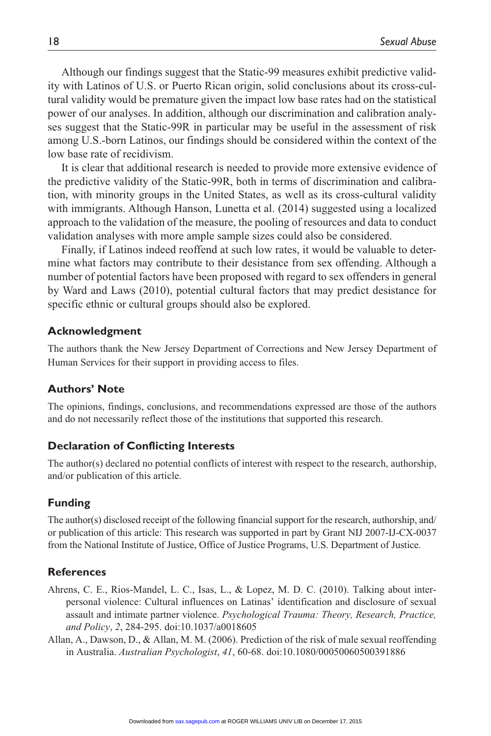Although our findings suggest that the Static-99 measures exhibit predictive validity with Latinos of U.S. or Puerto Rican origin, solid conclusions about its cross-cultural validity would be premature given the impact low base rates had on the statistical power of our analyses. In addition, although our discrimination and calibration analyses suggest that the Static-99R in particular may be useful in the assessment of risk among U.S.-born Latinos, our findings should be considered within the context of the low base rate of recidivism.

It is clear that additional research is needed to provide more extensive evidence of the predictive validity of the Static-99R, both in terms of discrimination and calibration, with minority groups in the United States, as well as its cross-cultural validity with immigrants. Although Hanson, Lunetta et al. (2014) suggested using a localized approach to the validation of the measure, the pooling of resources and data to conduct validation analyses with more ample sample sizes could also be considered.

Finally, if Latinos indeed reoffend at such low rates, it would be valuable to determine what factors may contribute to their desistance from sex offending. Although a number of potential factors have been proposed with regard to sex offenders in general by Ward and Laws (2010), potential cultural factors that may predict desistance for specific ethnic or cultural groups should also be explored.

#### **Acknowledgment**

The authors thank the New Jersey Department of Corrections and New Jersey Department of Human Services for their support in providing access to files.

#### **Authors' Note**

The opinions, findings, conclusions, and recommendations expressed are those of the authors and do not necessarily reflect those of the institutions that supported this research.

#### **Declaration of Conflicting Interests**

The author(s) declared no potential conflicts of interest with respect to the research, authorship, and/or publication of this article.

#### **Funding**

The author(s) disclosed receipt of the following financial support for the research, authorship, and/ or publication of this article: This research was supported in part by Grant NIJ 2007-IJ-CX-0037 from the National Institute of Justice, Office of Justice Programs, U.S. Department of Justice.

#### **References**

- Ahrens, C. E., Rios-Mandel, L. C., Isas, L., & Lopez, M. D. C. (2010). Talking about interpersonal violence: Cultural influences on Latinas' identification and disclosure of sexual assault and intimate partner violence. *Psychological Trauma: Theory, Research, Practice, and Policy*, *2*, 284-295. doi:10.1037/a0018605
- Allan, A., Dawson, D., & Allan, M. M. (2006). Prediction of the risk of male sexual reoffending in Australia. *Australian Psychologist*, *41*, 60-68. doi:10.1080/00050060500391886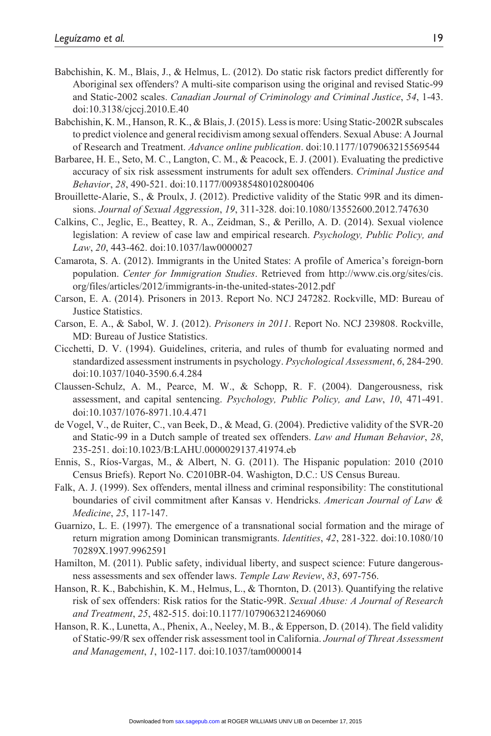- Babchishin, K. M., Blais, J., & Helmus, L. (2012). Do static risk factors predict differently for Aboriginal sex offenders? A multi-site comparison using the original and revised Static-99 and Static-2002 scales. *Canadian Journal of Criminology and Criminal Justice*, *54*, 1-43. doi:10.3138/cjccj.2010.E.40
- Babchishin, K. M., Hanson, R. K., & Blais, J. (2015). Less is more: Using Static-2002R subscales to predict violence and general recidivism among sexual offenders. Sexual Abuse: A Journal of Research and Treatment. *Advance online publication*. doi:10.1177/1079063215569544
- Barbaree, H. E., Seto, M. C., Langton, C. M., & Peacock, E. J. (2001). Evaluating the predictive accuracy of six risk assessment instruments for adult sex offenders. *Criminal Justice and Behavior*, *28*, 490-521. doi:10.1177/009385480102800406
- Brouillette-Alarie, S., & Proulx, J. (2012). Predictive validity of the Static 99R and its dimensions. *Journal of Sexual Aggression*, *19*, 311-328. doi:10.1080/13552600.2012.747630
- Calkins, C., Jeglic, E., Beattey, R. A., Zeidman, S., & Perillo, A. D. (2014). Sexual violence legislation: A review of case law and empirical research. *Psychology, Public Policy, and Law*, *20*, 443-462. doi:10.1037/law0000027
- Camarota, S. A. (2012). Immigrants in the United States: A profile of America's foreign-born population. *Center for Immigration Studies*. Retrieved from [http://www.cis.org/sites/cis.](http://www.cis.org/sites/cis.org/files/articles/2012/immigrants-in-the-united-states-2012.pdf) [org/files/articles/2012/immigrants-in-the-united-states-2012.pdf](http://www.cis.org/sites/cis.org/files/articles/2012/immigrants-in-the-united-states-2012.pdf)
- Carson, E. A. (2014). Prisoners in 2013. Report No. NCJ 247282. Rockville, MD: Bureau of Justice Statistics.
- Carson, E. A., & Sabol, W. J. (2012). *Prisoners in 2011*. Report No. NCJ 239808. Rockville, MD: Bureau of Justice Statistics.
- Cicchetti, D. V. (1994). Guidelines, criteria, and rules of thumb for evaluating normed and standardized assessment instruments in psychology. *Psychological Assessment*, *6*, 284-290. doi:10.1037/1040-3590.6.4.284
- Claussen-Schulz, A. M., Pearce, M. W., & Schopp, R. F. (2004). Dangerousness, risk assessment, and capital sentencing. *Psychology, Public Policy, and Law*, *10*, 471-491. doi:10.1037/1076-8971.10.4.471
- de Vogel, V., de Ruiter, C., van Beek, D., & Mead, G. (2004). Predictive validity of the SVR-20 and Static-99 in a Dutch sample of treated sex offenders. *Law and Human Behavior*, *28*, 235-251. doi:10.1023/B:LAHU.0000029137.41974.eb
- Ennis, S., Ríos-Vargas, M., & Albert, N. G. (2011). The Hispanic population: 2010 (2010 Census Briefs). Report No. C2010BR-04. Washigton, D.C.: US Census Bureau.
- Falk, A. J. (1999). Sex offenders, mental illness and criminal responsibility: The constitutional boundaries of civil commitment after Kansas v. Hendricks. *American Journal of Law & Medicine*, *25*, 117-147.
- Guarnizo, L. E. (1997). The emergence of a transnational social formation and the mirage of return migration among Dominican transmigrants. *Identities*, *42*, 281-322. doi:10.1080/10 70289X.1997.9962591
- Hamilton, M. (2011). Public safety, individual liberty, and suspect science: Future dangerousness assessments and sex offender laws. *Temple Law Review*, *83*, 697-756.
- Hanson, R. K., Babchishin, K. M., Helmus, L., & Thornton, D. (2013). Quantifying the relative risk of sex offenders: Risk ratios for the Static-99R. *Sexual Abuse: A Journal of Research and Treatment*, *25*, 482-515. doi:10.1177/1079063212469060
- Hanson, R. K., Lunetta, A., Phenix, A., Neeley, M. B., & Epperson, D. (2014). The field validity of Static-99/R sex offender risk assessment tool in California. *Journal of Threat Assessment and Management*, *1*, 102-117. doi:10.1037/tam0000014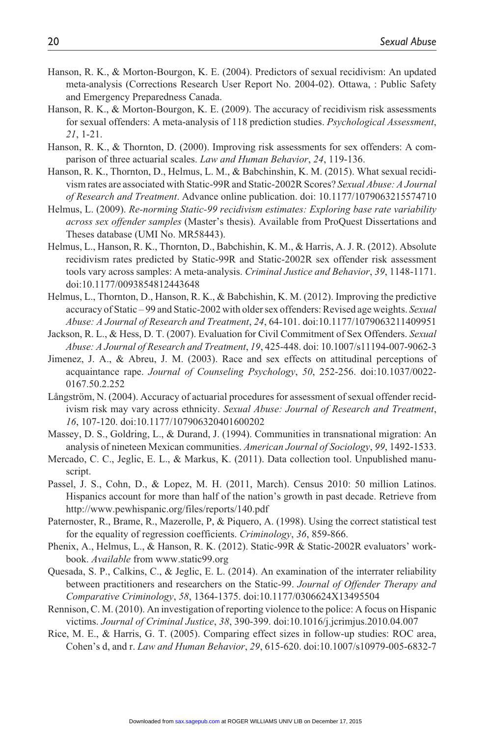- Hanson, R. K., & Morton-Bourgon, K. E. (2004). Predictors of sexual recidivism: An updated meta-analysis (Corrections Research User Report No. 2004-02). Ottawa, : Public Safety and Emergency Preparedness Canada.
- Hanson, R. K., & Morton-Bourgon, K. E. (2009). The accuracy of recidivism risk assessments for sexual offenders: A meta-analysis of 118 prediction studies. *Psychological Assessment*, *21*, 1-21.
- Hanson, R. K., & Thornton, D. (2000). Improving risk assessments for sex offenders: A comparison of three actuarial scales. *Law and Human Behavior*, *24*, 119-136.
- Hanson, R. K., Thornton, D., Helmus, L. M., & Babchinshin, K. M. (2015). What sexual recidivism rates are associated with Static-99R and Static-2002R Scores? *Sexual Abuse: A Journal of Research and Treatment*. Advance online publication. doi: 10.1177/1079063215574710
- Helmus, L. (2009). *Re-norming Static-99 recidivism estimates: Exploring base rate variability across sex offender samples* (Master's thesis). Available from ProQuest Dissertations and Theses database (UMI No. MR58443).
- Helmus, L., Hanson, R. K., Thornton, D., Babchishin, K. M., & Harris, A. J. R. (2012). Absolute recidivism rates predicted by Static-99R and Static-2002R sex offender risk assessment tools vary across samples: A meta-analysis. *Criminal Justice and Behavior*, *39*, 1148-1171. doi:10.1177/0093854812443648
- Helmus, L., Thornton, D., Hanson, R. K., & Babchishin, K. M. (2012). Improving the predictive accuracy of Static – 99 and Static-2002 with older sex offenders: Revised age weights. *Sexual Abuse: A Journal of Research and Treatment*, *24*, 64-101. doi:10.1177/1079063211409951
- Jackson, R. L., & Hess, D. T. (2007). Evaluation for Civil Commitment of Sex Offenders. *Sexual Abuse: A Journal of Research and Treatment*, *19*, 425-448. doi: 10.1007/s11194-007-9062-3
- Jimenez, J. A., & Abreu, J. M. (2003). Race and sex effects on attitudinal perceptions of acquaintance rape. *Journal of Counseling Psychology*, *50*, 252-256. doi:10.1037/0022- 0167.50.2.252
- Långström, N. (2004). Accuracy of actuarial procedures for assessment of sexual offender recidivism risk may vary across ethnicity. *Sexual Abuse: Journal of Research and Treatment*, *16*, 107-120. doi:10.1177/107906320401600202
- Massey, D. S., Goldring, L., & Durand, J. (1994). Communities in transnational migration: An analysis of nineteen Mexican communities. *American Journal of Sociology*, *99*, 1492-1533.
- Mercado, C. C., Jeglic, E. L., & Markus, K. (2011). Data collection tool. Unpublished manuscript.
- Passel, J. S., Cohn, D., & Lopez, M. H. (2011, March). Census 2010: 50 million Latinos. Hispanics account for more than half of the nation's growth in past decade. Retrieve from <http://www.pewhispanic.org/files/reports/140.pdf>
- Paternoster, R., Brame, R., Mazerolle, P, & Piquero, A. (1998). Using the correct statistical test for the equality of regression coefficients. *Criminology*, *36*, 859-866.
- Phenix, A., Helmus, L., & Hanson, R. K. (2012). Static-99R & Static-2002R evaluators' workbook. *Available* from<www.static99.org>
- Quesada, S. P., Calkins, C., & Jeglic, E. L. (2014). An examination of the interrater reliability between practitioners and researchers on the Static-99. *Journal of Offender Therapy and Comparative Criminology*, *58*, 1364-1375. doi:10.1177/0306624X13495504
- Rennison, C. M. (2010). An investigation of reporting violence to the police: A focus on Hispanic victims. *Journal of Criminal Justice*, *38*, 390-399. doi:10.1016/j.jcrimjus.2010.04.007
- Rice, M. E., & Harris, G. T. (2005). Comparing effect sizes in follow-up studies: ROC area, Cohen's d, and r. *Law and Human Behavior*, *29*, 615-620. doi:10.1007/s10979-005-6832-7